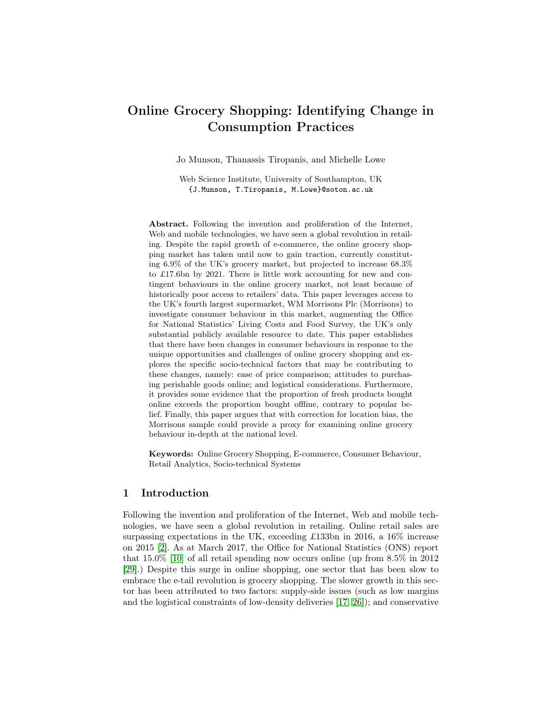# Online Grocery Shopping: Identifying Change in Consumption Practices

Jo Munson, Thanassis Tiropanis, and Michelle Lowe

Web Science Institute, University of Southampton, UK {J.Munson, T.Tiropanis, M.Lowe}@soton.ac.uk

Abstract. Following the invention and proliferation of the Internet, Web and mobile technologies, we have seen a global revolution in retailing. Despite the rapid growth of e-commerce, the online grocery shopping market has taken until now to gain traction, currently constituting 6.9% of the UK's grocery market, but projected to increase 68.3% to £17.6bn by 2021. There is little work accounting for new and contingent behaviours in the online grocery market, not least because of historically poor access to retailers' data. This paper leverages access to the UK's fourth largest supermarket, WM Morrisons Plc (Morrisons) to investigate consumer behaviour in this market, augmenting the Office for National Statistics' Living Costs and Food Survey, the UK's only substantial publicly available resource to date. This paper establishes that there have been changes in consumer behaviours in response to the unique opportunities and challenges of online grocery shopping and explores the specific socio-technical factors that may be contributing to these changes, namely: ease of price comparison; attitudes to purchasing perishable goods online; and logistical considerations. Furthermore, it provides some evidence that the proportion of fresh products bought online exceeds the proportion bought offline, contrary to popular belief. Finally, this paper argues that with correction for location bias, the Morrisons sample could provide a proxy for examining online grocery behaviour in-depth at the national level.

Keywords: Online Grocery Shopping, E-commerce, Consumer Behaviour, Retail Analytics, Socio-technical Systems

# 1 Introduction

Following the invention and proliferation of the Internet, Web and mobile technologies, we have seen a global revolution in retailing. Online retail sales are surpassing expectations in the UK, exceeding £133bn in 2016, a 16% increase on 2015 [\[2\]](#page-17-0). As at March 2017, the Office for National Statistics (ONS) report that 15.0% [\[10\]](#page-18-0) of all retail spending now occurs online (up from 8.5% in 2012 [\[29\]](#page-19-0).) Despite this surge in online shopping, one sector that has been slow to embrace the e-tail revolution is grocery shopping. The slower growth in this sector has been attributed to two factors: supply-side issues (such as low margins and the logistical constraints of low-density deliveries [\[17,](#page-18-1) [26\]](#page-19-1)); and conservative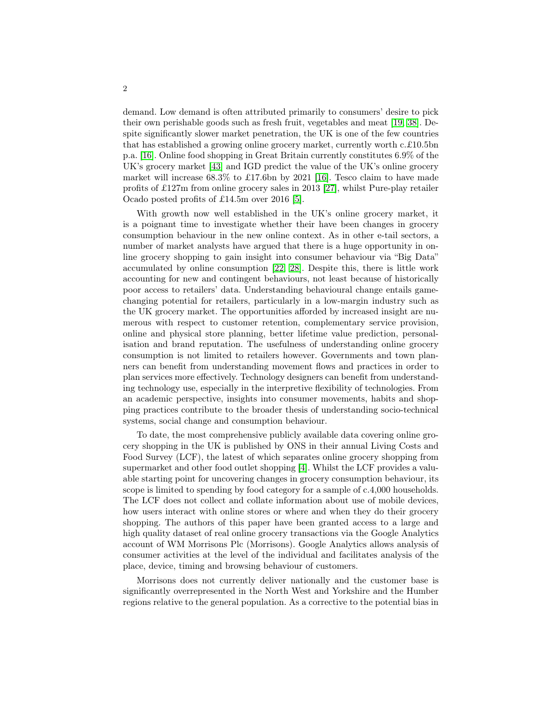demand. Low demand is often attributed primarily to consumers' desire to pick their own perishable goods such as fresh fruit, vegetables and meat [\[19,](#page-18-2) [38\]](#page-19-2). Despite significantly slower market penetration, the UK is one of the few countries that has established a growing online grocery market, currently worth  $c.f.10.5$ bn p.a. [\[16\]](#page-18-3). Online food shopping in Great Britain currently constitutes 6.9% of the UK's grocery market [\[43\]](#page-19-3) and IGD predict the value of the UK's online grocery market will increase 68.3% to £17.6bn by 2021 [\[16\]](#page-18-3). Tesco claim to have made profits of £127m from online grocery sales in 2013 [\[27\]](#page-19-4), whilst Pure-play retailer Ocado posted profits of £14.5m over 2016 [\[5\]](#page-18-4).

With growth now well established in the UK's online grocery market, it is a poignant time to investigate whether their have been changes in grocery consumption behaviour in the new online context. As in other e-tail sectors, a number of market analysts have argued that there is a huge opportunity in online grocery shopping to gain insight into consumer behaviour via "Big Data" accumulated by online consumption [\[22,](#page-18-5) [28\]](#page-19-5). Despite this, there is little work accounting for new and contingent behaviours, not least because of historically poor access to retailers' data. Understanding behavioural change entails gamechanging potential for retailers, particularly in a low-margin industry such as the UK grocery market. The opportunities afforded by increased insight are numerous with respect to customer retention, complementary service provision, online and physical store planning, better lifetime value prediction, personalisation and brand reputation. The usefulness of understanding online grocery consumption is not limited to retailers however. Governments and town planners can benefit from understanding movement flows and practices in order to plan services more effectively. Technology designers can benefit from understanding technology use, especially in the interpretive flexibility of technologies. From an academic perspective, insights into consumer movements, habits and shopping practices contribute to the broader thesis of understanding socio-technical systems, social change and consumption behaviour.

To date, the most comprehensive publicly available data covering online grocery shopping in the UK is published by ONS in their annual Living Costs and Food Survey (LCF), the latest of which separates online grocery shopping from supermarket and other food outlet shopping [\[4\]](#page-18-6). Whilst the LCF provides a valuable starting point for uncovering changes in grocery consumption behaviour, its scope is limited to spending by food category for a sample of c.4,000 households. The LCF does not collect and collate information about use of mobile devices, how users interact with online stores or where and when they do their grocery shopping. The authors of this paper have been granted access to a large and high quality dataset of real online grocery transactions via the Google Analytics account of WM Morrisons Plc (Morrisons). Google Analytics allows analysis of consumer activities at the level of the individual and facilitates analysis of the place, device, timing and browsing behaviour of customers.

Morrisons does not currently deliver nationally and the customer base is significantly overrepresented in the North West and Yorkshire and the Humber regions relative to the general population. As a corrective to the potential bias in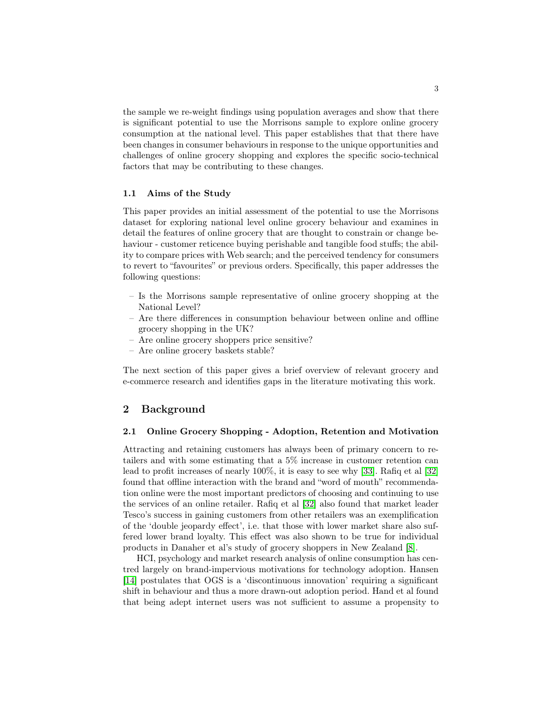the sample we re-weight findings using population averages and show that there is significant potential to use the Morrisons sample to explore online grocery consumption at the national level. This paper establishes that that there have been changes in consumer behaviours in response to the unique opportunities and challenges of online grocery shopping and explores the specific socio-technical factors that may be contributing to these changes.

## 1.1 Aims of the Study

This paper provides an initial assessment of the potential to use the Morrisons dataset for exploring national level online grocery behaviour and examines in detail the features of online grocery that are thought to constrain or change behaviour - customer reticence buying perishable and tangible food stuffs; the ability to compare prices with Web search; and the perceived tendency for consumers to revert to "favourites" or previous orders. Specifically, this paper addresses the following questions:

- Is the Morrisons sample representative of online grocery shopping at the National Level?
- Are there differences in consumption behaviour between online and offline grocery shopping in the UK?
- Are online grocery shoppers price sensitive?
- Are online grocery baskets stable?

The next section of this paper gives a brief overview of relevant grocery and e-commerce research and identifies gaps in the literature motivating this work.

## 2 Background

## 2.1 Online Grocery Shopping - Adoption, Retention and Motivation

Attracting and retaining customers has always been of primary concern to retailers and with some estimating that a 5% increase in customer retention can lead to profit increases of nearly 100%, it is easy to see why [\[33\]](#page-19-6). Rafiq et al [\[32\]](#page-19-7) found that offline interaction with the brand and "word of mouth" recommendation online were the most important predictors of choosing and continuing to use the services of an online retailer. Rafiq et al [\[32\]](#page-19-7) also found that market leader Tesco's success in gaining customers from other retailers was an exemplification of the 'double jeopardy effect', i.e. that those with lower market share also suffered lower brand loyalty. This effect was also shown to be true for individual products in Danaher et al's study of grocery shoppers in New Zealand [\[8\]](#page-18-7).

HCI, psychology and market research analysis of online consumption has centred largely on brand-impervious motivations for technology adoption. Hansen [\[14\]](#page-18-8) postulates that OGS is a 'discontinuous innovation' requiring a significant shift in behaviour and thus a more drawn-out adoption period. Hand et al found that being adept internet users was not sufficient to assume a propensity to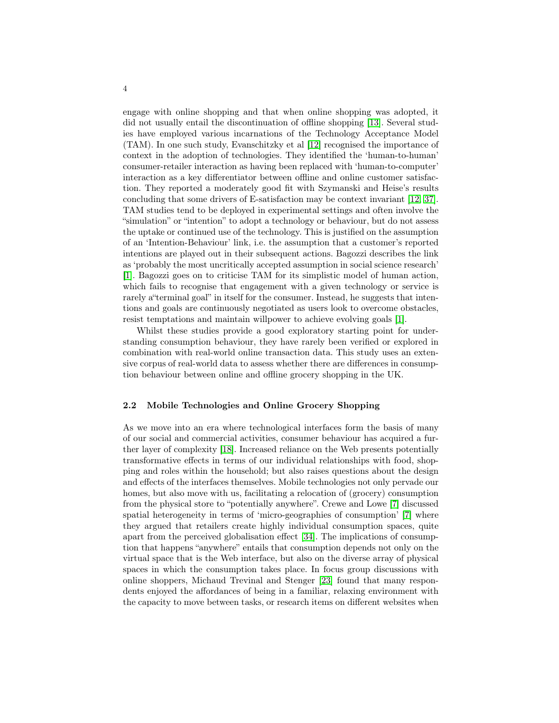engage with online shopping and that when online shopping was adopted, it did not usually entail the discontinuation of offline shopping [\[13\]](#page-18-9). Several studies have employed various incarnations of the Technology Acceptance Model (TAM). In one such study, Evanschitzky et al [\[12\]](#page-18-10) recognised the importance of context in the adoption of technologies. They identified the 'human-to-human' consumer-retailer interaction as having been replaced with 'human-to-computer' interaction as a key differentiator between offline and online customer satisfaction. They reported a moderately good fit with Szymanski and Heise's results concluding that some drivers of E-satisfaction may be context invariant [\[12,](#page-18-10) [37\]](#page-19-8). TAM studies tend to be deployed in experimental settings and often involve the "simulation" or "intention" to adopt a technology or behaviour, but do not assess the uptake or continued use of the technology. This is justified on the assumption of an 'Intention-Behaviour' link, i.e. the assumption that a customer's reported intentions are played out in their subsequent actions. Bagozzi describes the link as 'probably the most uncritically accepted assumption in social science research' [\[1\]](#page-17-1). Bagozzi goes on to criticise TAM for its simplistic model of human action, which fails to recognise that engagement with a given technology or service is rarely a"terminal goal" in itself for the consumer. Instead, he suggests that intentions and goals are continuously negotiated as users look to overcome obstacles, resist temptations and maintain willpower to achieve evolving goals [\[1\]](#page-17-1).

Whilst these studies provide a good exploratory starting point for understanding consumption behaviour, they have rarely been verified or explored in combination with real-world online transaction data. This study uses an extensive corpus of real-world data to assess whether there are differences in consumption behaviour between online and offline grocery shopping in the UK.

#### 2.2 Mobile Technologies and Online Grocery Shopping

As we move into an era where technological interfaces form the basis of many of our social and commercial activities, consumer behaviour has acquired a further layer of complexity [\[18\]](#page-18-11). Increased reliance on the Web presents potentially transformative effects in terms of our individual relationships with food, shopping and roles within the household; but also raises questions about the design and effects of the interfaces themselves. Mobile technologies not only pervade our homes, but also move with us, facilitating a relocation of (grocery) consumption from the physical store to "potentially anywhere". Crewe and Lowe [\[7\]](#page-18-12) discussed spatial heterogeneity in terms of 'micro-geographies of consumption' [\[7\]](#page-18-12) where they argued that retailers create highly individual consumption spaces, quite apart from the perceived globalisation effect [\[34\]](#page-19-9). The implications of consumption that happens "anywhere" entails that consumption depends not only on the virtual space that is the Web interface, but also on the diverse array of physical spaces in which the consumption takes place. In focus group discussions with online shoppers, Michaud Trevinal and Stenger [\[23\]](#page-18-13) found that many respondents enjoyed the affordances of being in a familiar, relaxing environment with the capacity to move between tasks, or research items on different websites when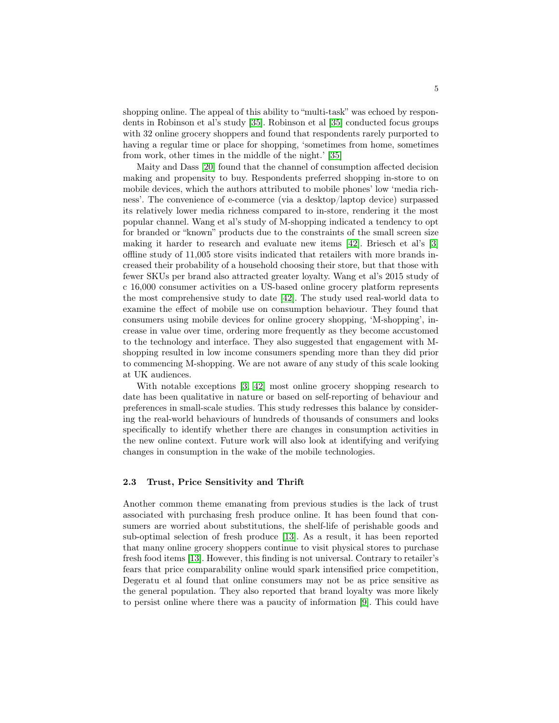shopping online. The appeal of this ability to "multi-task" was echoed by respondents in Robinson et al's study [\[35\]](#page-19-10). Robinson et al [\[35\]](#page-19-10) conducted focus groups with 32 online grocery shoppers and found that respondents rarely purported to having a regular time or place for shopping, 'sometimes from home, sometimes from work, other times in the middle of the night.' [\[35\]](#page-19-10)

Maity and Dass [\[20\]](#page-18-14) found that the channel of consumption affected decision making and propensity to buy. Respondents preferred shopping in-store to on mobile devices, which the authors attributed to mobile phones' low 'media richness'. The convenience of e-commerce (via a desktop/laptop device) surpassed its relatively lower media richness compared to in-store, rendering it the most popular channel. Wang et al's study of M-shopping indicated a tendency to opt for branded or "known" products due to the constraints of the small screen size making it harder to research and evaluate new items [\[42\]](#page-19-11). Briesch et al's [\[3\]](#page-17-2) offline study of 11,005 store visits indicated that retailers with more brands increased their probability of a household choosing their store, but that those with fewer SKUs per brand also attracted greater loyalty. Wang et al's 2015 study of c 16,000 consumer activities on a US-based online grocery platform represents the most comprehensive study to date [\[42\]](#page-19-11). The study used real-world data to examine the effect of mobile use on consumption behaviour. They found that consumers using mobile devices for online grocery shopping, 'M-shopping', increase in value over time, ordering more frequently as they become accustomed to the technology and interface. They also suggested that engagement with Mshopping resulted in low income consumers spending more than they did prior to commencing M-shopping. We are not aware of any study of this scale looking at UK audiences.

With notable exceptions [\[3,](#page-17-2) [42\]](#page-19-11) most online grocery shopping research to date has been qualitative in nature or based on self-reporting of behaviour and preferences in small-scale studies. This study redresses this balance by considering the real-world behaviours of hundreds of thousands of consumers and looks specifically to identify whether there are changes in consumption activities in the new online context. Future work will also look at identifying and verifying changes in consumption in the wake of the mobile technologies.

## 2.3 Trust, Price Sensitivity and Thrift

Another common theme emanating from previous studies is the lack of trust associated with purchasing fresh produce online. It has been found that consumers are worried about substitutions, the shelf-life of perishable goods and sub-optimal selection of fresh produce [\[13\]](#page-18-9). As a result, it has been reported that many online grocery shoppers continue to visit physical stores to purchase fresh food items [\[13\]](#page-18-9). However, this finding is not universal. Contrary to retailer's fears that price comparability online would spark intensified price competition, Degeratu et al found that online consumers may not be as price sensitive as the general population. They also reported that brand loyalty was more likely to persist online where there was a paucity of information [\[9\]](#page-18-15). This could have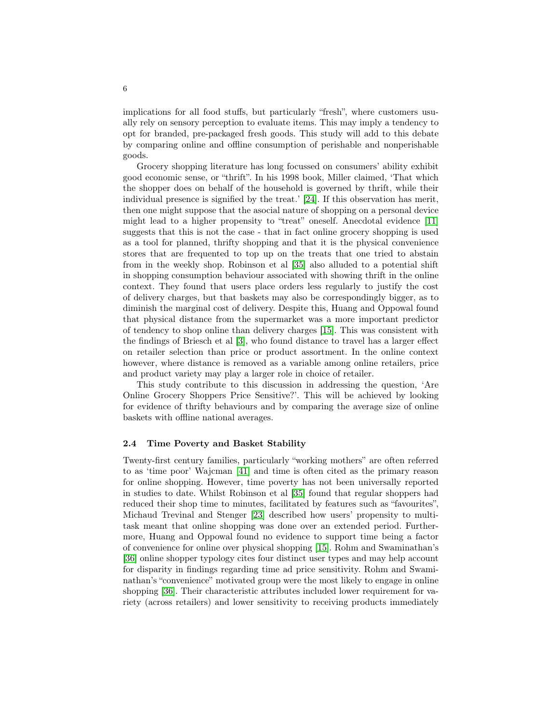implications for all food stuffs, but particularly "fresh", where customers usually rely on sensory perception to evaluate items. This may imply a tendency to opt for branded, pre-packaged fresh goods. This study will add to this debate by comparing online and offline consumption of perishable and nonperishable goods.

Grocery shopping literature has long focussed on consumers' ability exhibit good economic sense, or "thrift". In his 1998 book, Miller claimed, 'That which the shopper does on behalf of the household is governed by thrift, while their individual presence is signified by the treat.' [\[24\]](#page-18-16). If this observation has merit, then one might suppose that the asocial nature of shopping on a personal device might lead to a higher propensity to "treat" oneself. Anecdotal evidence [\[11\]](#page-18-17) suggests that this is not the case - that in fact online grocery shopping is used as a tool for planned, thrifty shopping and that it is the physical convenience stores that are frequented to top up on the treats that one tried to abstain from in the weekly shop. Robinson et al [\[35\]](#page-19-10) also alluded to a potential shift in shopping consumption behaviour associated with showing thrift in the online context. They found that users place orders less regularly to justify the cost of delivery charges, but that baskets may also be correspondingly bigger, as to diminish the marginal cost of delivery. Despite this, Huang and Oppowal found that physical distance from the supermarket was a more important predictor of tendency to shop online than delivery charges [\[15\]](#page-18-18). This was consistent with the findings of Briesch et al [\[3\]](#page-17-2), who found distance to travel has a larger effect on retailer selection than price or product assortment. In the online context however, where distance is removed as a variable among online retailers, price and product variety may play a larger role in choice of retailer.

This study contribute to this discussion in addressing the question, 'Are Online Grocery Shoppers Price Sensitive?'. This will be achieved by looking for evidence of thrifty behaviours and by comparing the average size of online baskets with offline national averages.

#### 2.4 Time Poverty and Basket Stability

Twenty-first century families, particularly "working mothers" are often referred to as 'time poor' Wajcman [\[41\]](#page-19-12) and time is often cited as the primary reason for online shopping. However, time poverty has not been universally reported in studies to date. Whilst Robinson et al [\[35\]](#page-19-10) found that regular shoppers had reduced their shop time to minutes, facilitated by features such as "favourites", Michaud Trevinal and Stenger [\[23\]](#page-18-13) described how users' propensity to multitask meant that online shopping was done over an extended period. Furthermore, Huang and Oppowal found no evidence to support time being a factor of convenience for online over physical shopping [\[15\]](#page-18-18). Rohm and Swaminathan's [\[36\]](#page-19-13) online shopper typology cites four distinct user types and may help account for disparity in findings regarding time ad price sensitivity. Rohm and Swaminathan's "convenience" motivated group were the most likely to engage in online shopping [\[36\]](#page-19-13). Their characteristic attributes included lower requirement for variety (across retailers) and lower sensitivity to receiving products immediately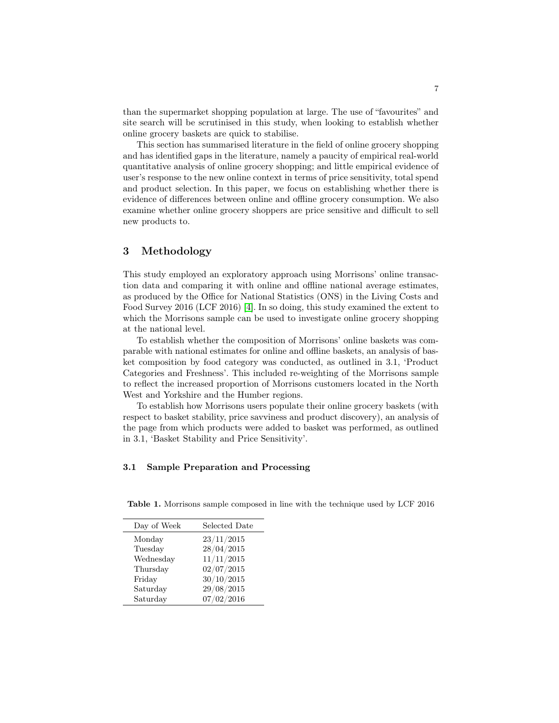than the supermarket shopping population at large. The use of "favourites" and site search will be scrutinised in this study, when looking to establish whether online grocery baskets are quick to stabilise.

This section has summarised literature in the field of online grocery shopping and has identified gaps in the literature, namely a paucity of empirical real-world quantitative analysis of online grocery shopping; and little empirical evidence of user's response to the new online context in terms of price sensitivity, total spend and product selection. In this paper, we focus on establishing whether there is evidence of differences between online and offline grocery consumption. We also examine whether online grocery shoppers are price sensitive and difficult to sell new products to.

# 3 Methodology

This study employed an exploratory approach using Morrisons' online transaction data and comparing it with online and offline national average estimates, as produced by the Office for National Statistics (ONS) in the Living Costs and Food Survey 2016 (LCF 2016) [\[4\]](#page-18-6). In so doing, this study examined the extent to which the Morrisons sample can be used to investigate online grocery shopping at the national level.

To establish whether the composition of Morrisons' online baskets was comparable with national estimates for online and offline baskets, an analysis of basket composition by food category was conducted, as outlined in 3.1, 'Product Categories and Freshness'. This included re-weighting of the Morrisons sample to reflect the increased proportion of Morrisons customers located in the North West and Yorkshire and the Humber regions.

To establish how Morrisons users populate their online grocery baskets (with respect to basket stability, price savviness and product discovery), an analysis of the page from which products were added to basket was performed, as outlined in 3.1, 'Basket Stability and Price Sensitivity'.

## 3.1 Sample Preparation and Processing

| Day of Week | Selected Date |
|-------------|---------------|
| Monday      | 23/11/2015    |
| Tuesday     | 28/04/2015    |
| Wednesday   | 11/11/2015    |
| Thursday    | 02/07/2015    |
| Friday      | 30/10/2015    |
| Saturday    | 29/08/2015    |
| Saturday    | 07/02/2016    |

<span id="page-6-0"></span>Table 1. Morrisons sample composed in line with the technique used by LCF 2016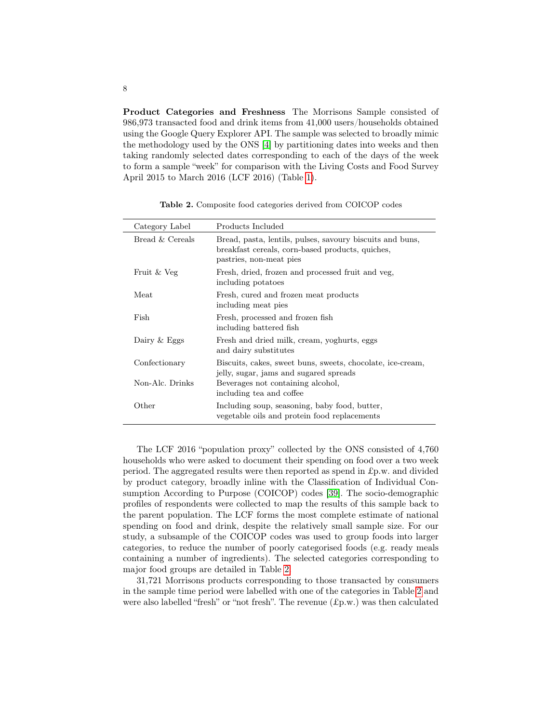Product Categories and Freshness The Morrisons Sample consisted of 986,973 transacted food and drink items from 41,000 users/households obtained using the Google Query Explorer API. The sample was selected to broadly mimic the methodology used by the ONS [\[4\]](#page-18-6) by partitioning dates into weeks and then taking randomly selected dates corresponding to each of the days of the week to form a sample "week" for comparison with the Living Costs and Food Survey April 2015 to March 2016 (LCF 2016) (Table [1\)](#page-6-0).

| Category Label  | Products Included                                                                                                                        |
|-----------------|------------------------------------------------------------------------------------------------------------------------------------------|
| Bread & Cereals | Bread, pasta, lentils, pulses, savoury biscuits and buns,<br>breakfast cereals, corn-based products, quiches,<br>pastries, non-meat pies |
| Fruit & Veg     | Fresh, dried, frozen and processed fruit and veg,<br>including potatoes                                                                  |
| Meat            | Fresh, cured and frozen meat products<br>including meat pies                                                                             |
| Fish            | Fresh, processed and frozen fish<br>including battered fish                                                                              |
| Dairy & Eggs    | Fresh and dried milk, cream, yoghurts, eggs<br>and dairy substitutes                                                                     |
| Confectionary   | Biscuits, cakes, sweet buns, sweets, chocolate, ice-cream,<br>jelly, sugar, jams and sugared spreads                                     |
| Non-Alc. Drinks | Beverages not containing alcohol,<br>including tea and coffee                                                                            |
| Other           | Including soup, seasoning, baby food, butter,<br>vegetable oils and protein food replacements                                            |

<span id="page-7-0"></span>Table 2. Composite food categories derived from COICOP codes

The LCF 2016 "population proxy" collected by the ONS consisted of 4,760 households who were asked to document their spending on food over a two week period. The aggregated results were then reported as spend in £p.w. and divided by product category, broadly inline with the Classification of Individual Consumption According to Purpose (COICOP) codes [\[39\]](#page-19-14). The socio-demographic profiles of respondents were collected to map the results of this sample back to the parent population. The LCF forms the most complete estimate of national spending on food and drink, despite the relatively small sample size. For our study, a subsample of the COICOP codes was used to group foods into larger categories, to reduce the number of poorly categorised foods (e.g. ready meals containing a number of ingredients). The selected categories corresponding to major food groups are detailed in Table [2.](#page-7-0)

31,721 Morrisons products corresponding to those transacted by consumers in the sample time period were labelled with one of the categories in Table [2](#page-7-0) and were also labelled "fresh" or "not fresh". The revenue (£p.w.) was then calculated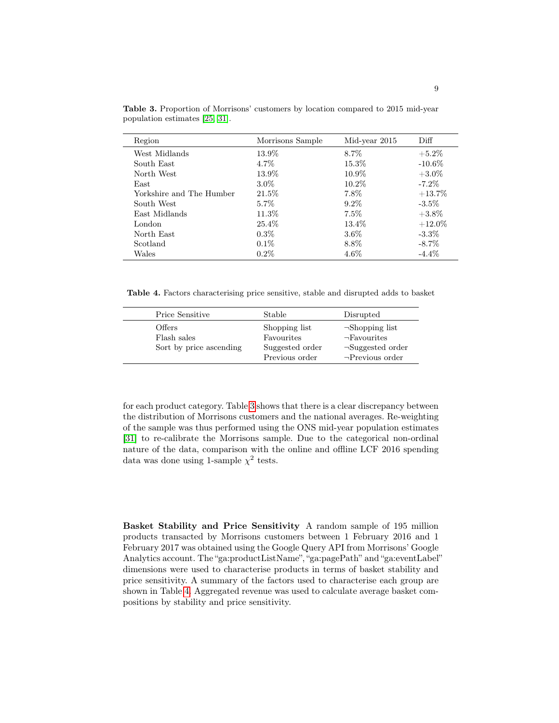| Region                   | Morrisons Sample | Mid-year 2015 | Diff      |
|--------------------------|------------------|---------------|-----------|
| West Midlands            | 13.9%            | 8.7%          | $+5.2\%$  |
| South East               | $4.7\%$          | 15.3%         | $-10.6\%$ |
| North West               | 13.9%            | 10.9%         | $+3.0\%$  |
| East                     | $3.0\%$          | 10.2%         | $-7.2\%$  |
| Yorkshire and The Humber | 21.5%            | $7.8\%$       | $+13.7\%$ |
| South West               | $5.7\%$          | $9.2\%$       | $-3.5\%$  |
| East Midlands            | 11.3%            | $7.5\%$       | $+3.8\%$  |
| London                   | 25.4%            | 13.4\%        | $+12.0\%$ |
| North East               | $0.3\%$          | $3.6\%$       | $-3.3\%$  |
| Scotland                 | $0.1\%$          | 8.8%          | $-8.7\%$  |
| Wales                    | $0.2\%$          | $4.6\%$       | $-4.4\%$  |

<span id="page-8-0"></span>Table 3. Proportion of Morrisons' customers by location compared to 2015 mid-year population estimates [\[25,](#page-19-15) [31\]](#page-19-16).

<span id="page-8-1"></span>Table 4. Factors characterising price sensitive, stable and disrupted adds to basket

| <b>Price Sensitive</b>  | Stable          | Disrupted              |
|-------------------------|-----------------|------------------------|
|                         |                 |                        |
| Offers                  | Shopping list   | $\neg$ Shopping list   |
| Flash sales             | Favourites      | $\neg$ Favourites      |
| Sort by price ascending | Suggested order | $\neg$ Suggested order |
|                         | Previous order  | $\neg$ Previous order  |

for each product category. Table [3](#page-8-0) shows that there is a clear discrepancy between the distribution of Morrisons customers and the national averages. Re-weighting of the sample was thus performed using the ONS mid-year population estimates [\[31\]](#page-19-16) to re-calibrate the Morrisons sample. Due to the categorical non-ordinal nature of the data, comparison with the online and offline LCF 2016 spending data was done using 1-sample  $\chi^2$  tests.

Basket Stability and Price Sensitivity A random sample of 195 million products transacted by Morrisons customers between 1 February 2016 and 1 February 2017 was obtained using the Google Query API from Morrisons' Google Analytics account. The "ga:productListName", "ga:pagePath" and "ga:eventLabel" dimensions were used to characterise products in terms of basket stability and price sensitivity. A summary of the factors used to characterise each group are shown in Table [4.](#page-8-1) Aggregated revenue was used to calculate average basket compositions by stability and price sensitivity.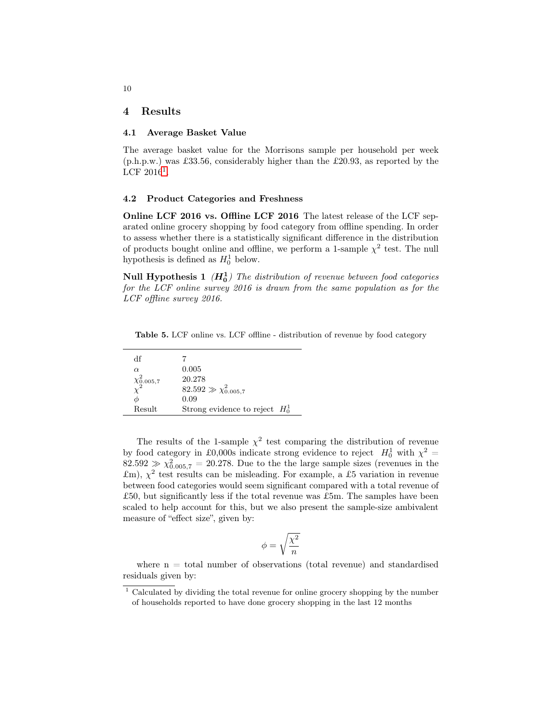# 4 Results

## 4.1 Average Basket Value

The average basket value for the Morrisons sample per household per week (p.h.p.w.) was £33.56, considerably higher than the £20.93, as reported by the LCF  $2016^1$  $2016^1$  $2016^1$ .

#### 4.2 Product Categories and Freshness

Online LCF 2016 vs. Offline LCF 2016 The latest release of the LCF separated online grocery shopping by food category from offline spending. In order to assess whether there is a statistically significant difference in the distribution of products bought online and offline, we perform a 1-sample  $\chi^2$  test. The null hypothesis is defined as  $H_0^1$  below.

**Null Hypothesis 1**  $(H_0^1)$  The distribution of revenue between food categories for the LCF online survey 2016 is drawn from the same population as for the LCF offline survey 2016.

Table 5. LCF online vs. LCF offline - distribution of revenue by food category

| df                 |                                   |
|--------------------|-----------------------------------|
| $\alpha$           | 0.005                             |
| $\chi^2_{0.005,7}$ | 20.278                            |
| $\chi^2$           | $82.592 \gg \chi_{0.005,7}^2$     |
| Ф                  | 0.09                              |
| Result             | Strong evidence to reject $H_0^1$ |

The results of the 1-sample  $\chi^2$  test comparing the distribution of revenue by food category in £0,000s indicate strong evidence to reject  $H_0^1$  with  $\chi^2 =$  $82.592 \gg \chi_{0.005,7}^2 = 20.278$ . Due to the the large sample sizes (revenues in the  $\pounds$ m),  $\chi^2$  test results can be misleading. For example, a £5 variation in revenue between food categories would seem significant compared with a total revenue of £50, but significantly less if the total revenue was £5m. The samples have been scaled to help account for this, but we also present the sample-size ambivalent measure of "effect size", given by:

$$
\phi=\sqrt{\frac{\chi^2}{n}}
$$

where  $n =$  total number of observations (total revenue) and standardised residuals given by:

<span id="page-9-0"></span><sup>1</sup> Calculated by dividing the total revenue for online grocery shopping by the number of households reported to have done grocery shopping in the last 12 months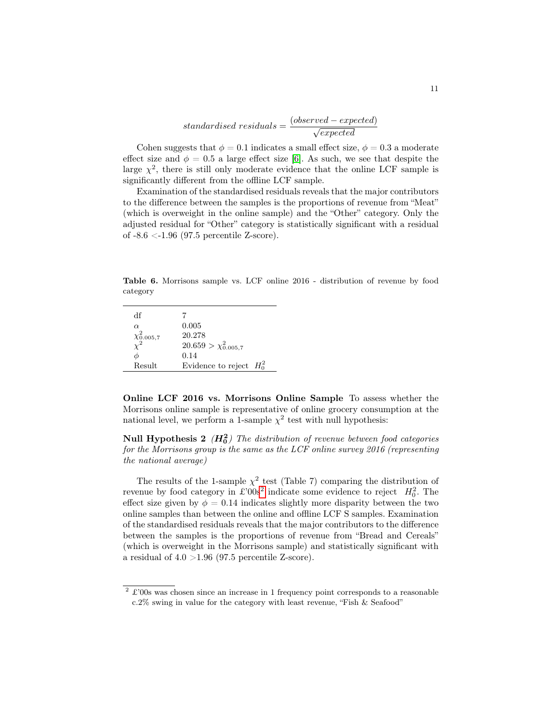$$
standardised\ residuals = \frac{(observed - expected)}{\sqrt{expected}}
$$

Cohen suggests that  $\phi = 0.1$  indicates a small effect size,  $\phi = 0.3$  a moderate effect size and  $\phi = 0.5$  a large effect size [\[6\]](#page-18-19). As such, we see that despite the large  $\chi^2$ , there is still only moderate evidence that the online LCF sample is significantly different from the offline LCF sample.

Examination of the standardised residuals reveals that the major contributors to the difference between the samples is the proportions of revenue from "Meat" (which is overweight in the online sample) and the "Other" category. Only the adjusted residual for "Other" category is statistically significant with a residual of -8.6 <-1.96 (97.5 percentile Z-score).

Table 6. Morrisons sample vs. LCF online 2016 - distribution of revenue by food category

| df                 |                             |
|--------------------|-----------------------------|
| $\alpha$           | 0.005                       |
| $\chi^2_{0.005,7}$ | 20.278                      |
|                    | $20.659 > \chi_{0.005,7}^2$ |
|                    | 0.14                        |
| Result             | Evidence to reject $H_0^2$  |

Online LCF 2016 vs. Morrisons Online Sample To assess whether the Morrisons online sample is representative of online grocery consumption at the national level, we perform a 1-sample  $\chi^2$  test with null hypothesis:

**Null Hypothesis 2**  $(H_0^2)$  The distribution of revenue between food categories for the Morrisons group is the same as the LCF online survey 2016 (representing the national average)

The results of the 1-sample  $\chi^2$  test (Table 7) comparing the distribution of revenue by food category in  $\pounds'00s^2$  $\pounds'00s^2$  indicate some evidence to reject  $H_0^2$ . The effect size given by  $\phi = 0.14$  indicates slightly more disparity between the two online samples than between the online and offline LCF S samples. Examination of the standardised residuals reveals that the major contributors to the difference between the samples is the proportions of revenue from "Bread and Cereals" (which is overweight in the Morrisons sample) and statistically significant with a residual of  $4.0 > 1.96$  (97.5 percentile Z-score).

<span id="page-10-0"></span> $2 \text{ } \pounds$ '00s was chosen since an increase in 1 frequency point corresponds to a reasonable c.2% swing in value for the category with least revenue, "Fish & Seafood"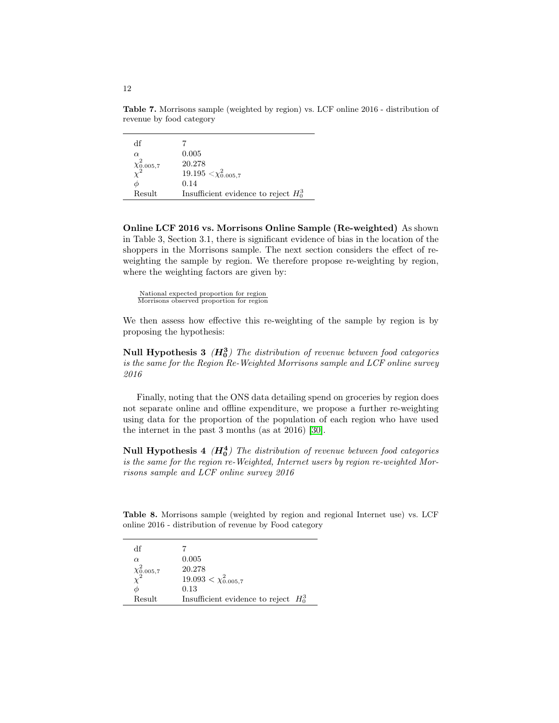Table 7. Morrisons sample (weighted by region) vs. LCF online 2016 - distribution of revenue by food category

| df                 |                                         |
|--------------------|-----------------------------------------|
| $\alpha$           | 0.005                                   |
| $\chi^2_{0.005,7}$ | 20.278                                  |
|                    | $19.195 < \chi^{2}_{0.005,7}$           |
|                    | 0.14                                    |
| Result             | Insufficient evidence to reject $H_0^3$ |

Online LCF 2016 vs. Morrisons Online Sample (Re-weighted) As shown in Table 3, Section 3.1, there is significant evidence of bias in the location of the shoppers in the Morrisons sample. The next section considers the effect of reweighting the sample by region. We therefore propose re-weighting by region, where the weighting factors are given by:

National expected proportion for region Morrisons observed proportion for region

We then assess how effective this re-weighting of the sample by region is by proposing the hypothesis:

**Null Hypothesis 3**  $(H_0^3)$  The distribution of revenue between food categories is the same for the Region Re-Weighted Morrisons sample and LCF online survey 2016

Finally, noting that the ONS data detailing spend on groceries by region does not separate online and offline expenditure, we propose a further re-weighting using data for the proportion of the population of each region who have used the internet in the past 3 months (as at 2016) [\[30\]](#page-19-17).

**Null Hypothesis 4**  $(H_0^4)$  The distribution of revenue between food categories is the same for the region re-Weighted, Internet users by region re-weighted Morrisons sample and LCF online survey 2016

Table 8. Morrisons sample (weighted by region and regional Internet use) vs. LCF online 2016 - distribution of revenue by Food category

| df                 |                                         |
|--------------------|-----------------------------------------|
| $\alpha$           | 0.005                                   |
| $\chi^2_{0.005,7}$ | 20.278                                  |
|                    | $19.093 < \chi_{0.005.7}^2$             |
| Φ                  | 0.13                                    |
| Result             | Insufficient evidence to reject $H_0^3$ |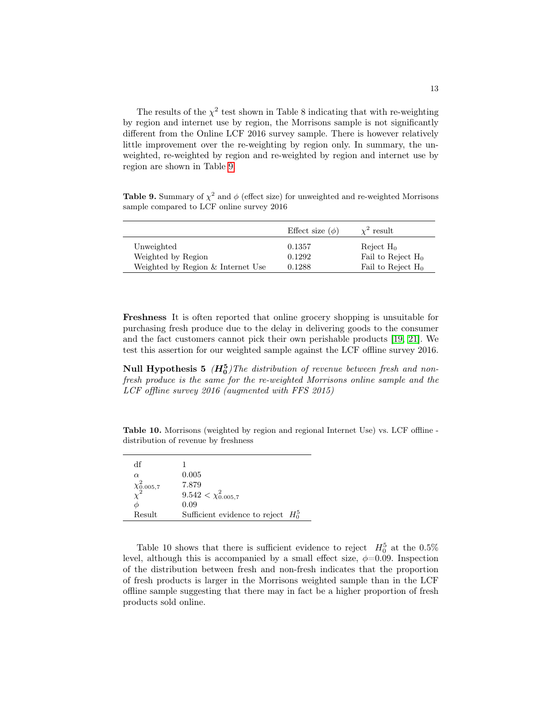The results of the  $\chi^2$  test shown in Table 8 indicating that with re-weighting by region and internet use by region, the Morrisons sample is not significantly different from the Online LCF 2016 survey sample. There is however relatively little improvement over the re-weighting by region only. In summary, the unweighted, re-weighted by region and re-weighted by region and internet use by region are shown in Table [9.](#page-12-0)

<span id="page-12-0"></span>**Table 9.** Summary of  $\chi^2$  and  $\phi$  (effect size) for unweighted and re-weighted Morrisons sample compared to LCF online survey 2016

|                                   | Effect size $(\phi)$ | $\chi^2$ result      |
|-----------------------------------|----------------------|----------------------|
| Unweighted                        | 0.1357               | Reject $H_0$         |
| Weighted by Region                | 0.1292               | Fail to Reject $H_0$ |
| Weighted by Region & Internet Use | 0.1288               | Fail to Reject $H_0$ |

Freshness It is often reported that online grocery shopping is unsuitable for purchasing fresh produce due to the delay in delivering goods to the consumer and the fact customers cannot pick their own perishable products [\[19,](#page-18-2) [21\]](#page-18-20). We test this assertion for our weighted sample against the LCF offline survey 2016.

Null Hypothesis 5  $(H_0^5)$ The distribution of revenue between fresh and nonfresh produce is the same for the re-weighted Morrisons online sample and the LCF offline survey 2016 (augmented with FFS 2015)

Table 10. Morrisons (weighted by region and regional Internet Use) vs. LCF offline distribution of revenue by freshness

| df                 |                                       |
|--------------------|---------------------------------------|
| $\alpha$           | 0.005                                 |
| $\chi^2_{0.005,7}$ | 7.879                                 |
|                    | $9.542 < \chi_{0.005,7}^2$            |
| Φ                  | 0.09                                  |
| Result             | Sufficient evidence to reject $H_0^5$ |

Table 10 shows that there is sufficient evidence to reject  $H_0^5$  at the 0.5% level, although this is accompanied by a small effect size,  $\phi=0.09$ . Inspection of the distribution between fresh and non-fresh indicates that the proportion of fresh products is larger in the Morrisons weighted sample than in the LCF offline sample suggesting that there may in fact be a higher proportion of fresh products sold online.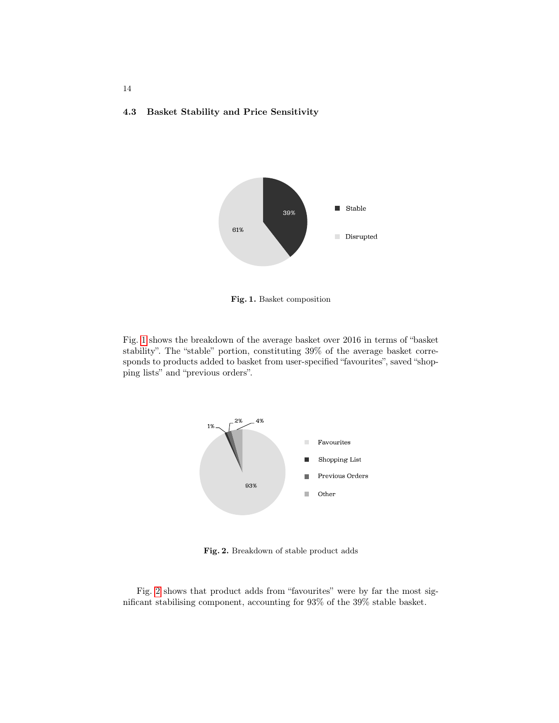## 4.3 Basket Stability and Price Sensitivity



<span id="page-13-0"></span>Fig. 1. Basket composition

Fig. [1](#page-13-0) shows the breakdown of the average basket over 2016 in terms of "basket stability". The "stable" portion, constituting 39% of the average basket corresponds to products added to basket from user-specified "favourites", saved "shopping lists" and "previous orders".



<span id="page-13-1"></span>Fig. 2. Breakdown of stable product adds

Fig. [2](#page-13-1) shows that product adds from "favourites" were by far the most significant stabilising component, accounting for 93% of the 39% stable basket.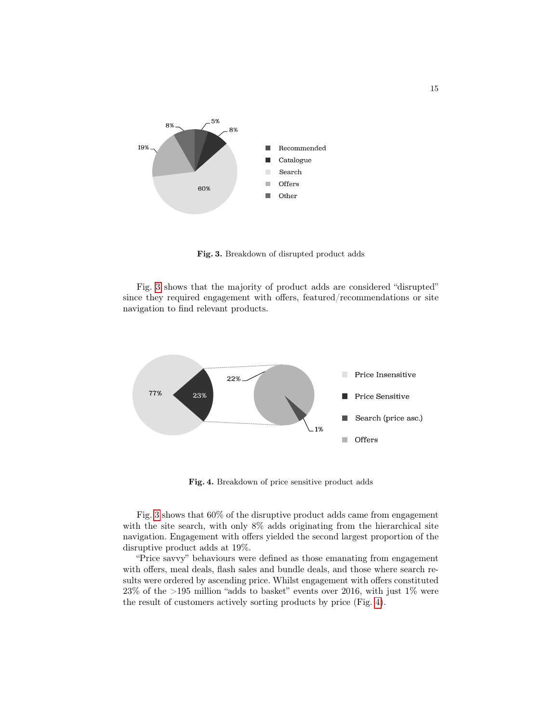

<span id="page-14-0"></span>Fig. 3. Breakdown of disrupted product adds

Fig. [3](#page-14-0) shows that the majority of product adds are considered "disrupted" since they required engagement with offers, featured/recommendations or site navigation to find relevant products.



<span id="page-14-1"></span>Fig. 4. Breakdown of price sensitive product adds

Fig. [3](#page-14-0) shows that 60% of the disruptive product adds came from engagement with the site search, with only  $8\%$  adds originating from the hierarchical site navigation. Engagement with offers yielded the second largest proportion of the disruptive product adds at 19%.

"Price savvy" behaviours were defined as those emanating from engagement with offers, meal deals, flash sales and bundle deals, and those where search results were ordered by ascending price. Whilst engagement with offers constituted  $23\%$  of the  $>195$  million "adds to basket" events over 2016, with just 1% were the result of customers actively sorting products by price (Fig. [4\)](#page-14-1).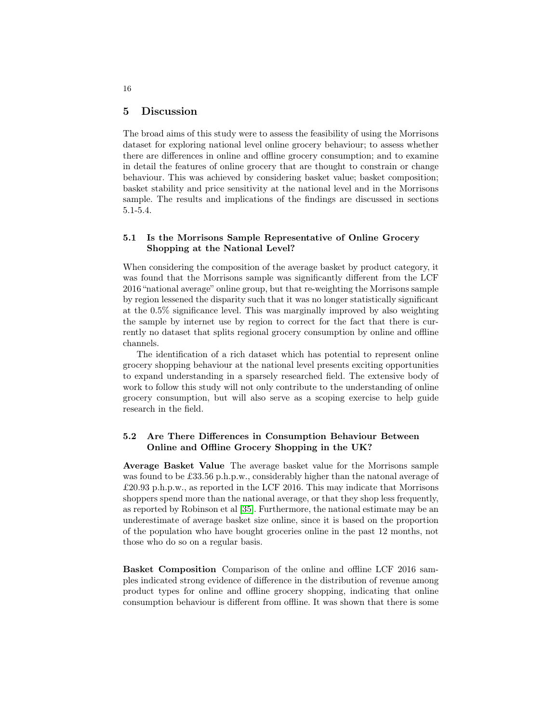# 5 Discussion

The broad aims of this study were to assess the feasibility of using the Morrisons dataset for exploring national level online grocery behaviour; to assess whether there are differences in online and offline grocery consumption; and to examine in detail the features of online grocery that are thought to constrain or change behaviour. This was achieved by considering basket value; basket composition; basket stability and price sensitivity at the national level and in the Morrisons sample. The results and implications of the findings are discussed in sections 5.1-5.4.

## 5.1 Is the Morrisons Sample Representative of Online Grocery Shopping at the National Level?

When considering the composition of the average basket by product category, it was found that the Morrisons sample was significantly different from the LCF 2016 "national average" online group, but that re-weighting the Morrisons sample by region lessened the disparity such that it was no longer statistically significant at the 0.5% significance level. This was marginally improved by also weighting the sample by internet use by region to correct for the fact that there is currently no dataset that splits regional grocery consumption by online and offline channels.

The identification of a rich dataset which has potential to represent online grocery shopping behaviour at the national level presents exciting opportunities to expand understanding in a sparsely researched field. The extensive body of work to follow this study will not only contribute to the understanding of online grocery consumption, but will also serve as a scoping exercise to help guide research in the field.

# 5.2 Are There Differences in Consumption Behaviour Between Online and Offline Grocery Shopping in the UK?

Average Basket Value The average basket value for the Morrisons sample was found to be £33.56 p.h.p.w., considerably higher than the natonal average of £20.93 p.h.p.w., as reported in the LCF 2016. This may indicate that Morrisons shoppers spend more than the national average, or that they shop less frequently, as reported by Robinson et al [\[35\]](#page-19-10). Furthermore, the national estimate may be an underestimate of average basket size online, since it is based on the proportion of the population who have bought groceries online in the past 12 months, not those who do so on a regular basis.

Basket Composition Comparison of the online and offline LCF 2016 samples indicated strong evidence of difference in the distribution of revenue among product types for online and offline grocery shopping, indicating that online consumption behaviour is different from offline. It was shown that there is some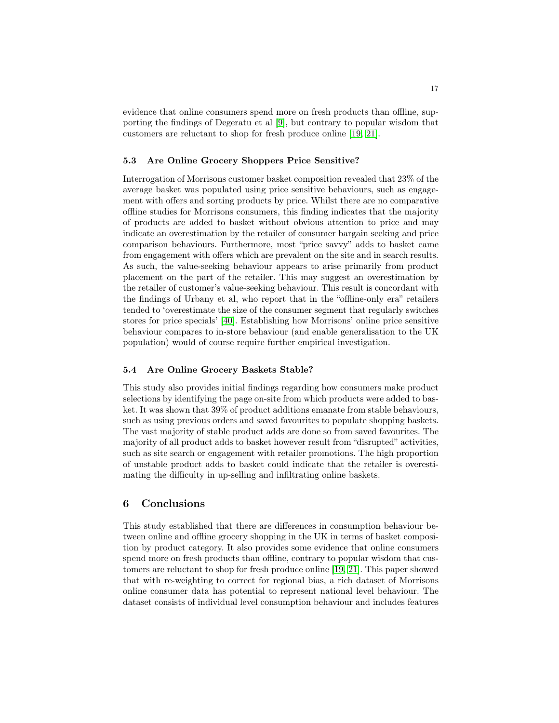evidence that online consumers spend more on fresh products than offline, supporting the findings of Degeratu et al [\[9\]](#page-18-15), but contrary to popular wisdom that customers are reluctant to shop for fresh produce online [\[19,](#page-18-2) [21\]](#page-18-20).

#### 5.3 Are Online Grocery Shoppers Price Sensitive?

Interrogation of Morrisons customer basket composition revealed that 23% of the average basket was populated using price sensitive behaviours, such as engagement with offers and sorting products by price. Whilst there are no comparative offline studies for Morrisons consumers, this finding indicates that the majority of products are added to basket without obvious attention to price and may indicate an overestimation by the retailer of consumer bargain seeking and price comparison behaviours. Furthermore, most "price savvy" adds to basket came from engagement with offers which are prevalent on the site and in search results. As such, the value-seeking behaviour appears to arise primarily from product placement on the part of the retailer. This may suggest an overestimation by the retailer of customer's value-seeking behaviour. This result is concordant with the findings of Urbany et al, who report that in the "offline-only era" retailers tended to 'overestimate the size of the consumer segment that regularly switches stores for price specials' [\[40\]](#page-19-18). Establishing how Morrisons' online price sensitive behaviour compares to in-store behaviour (and enable generalisation to the UK population) would of course require further empirical investigation.

## 5.4 Are Online Grocery Baskets Stable?

This study also provides initial findings regarding how consumers make product selections by identifying the page on-site from which products were added to basket. It was shown that 39% of product additions emanate from stable behaviours, such as using previous orders and saved favourites to populate shopping baskets. The vast majority of stable product adds are done so from saved favourites. The majority of all product adds to basket however result from "disrupted" activities, such as site search or engagement with retailer promotions. The high proportion of unstable product adds to basket could indicate that the retailer is overestimating the difficulty in up-selling and infiltrating online baskets.

# 6 Conclusions

This study established that there are differences in consumption behaviour between online and offline grocery shopping in the UK in terms of basket composition by product category. It also provides some evidence that online consumers spend more on fresh products than offline, contrary to popular wisdom that customers are reluctant to shop for fresh produce online [\[19,](#page-18-2) [21\]](#page-18-20). This paper showed that with re-weighting to correct for regional bias, a rich dataset of Morrisons online consumer data has potential to represent national level behaviour. The dataset consists of individual level consumption behaviour and includes features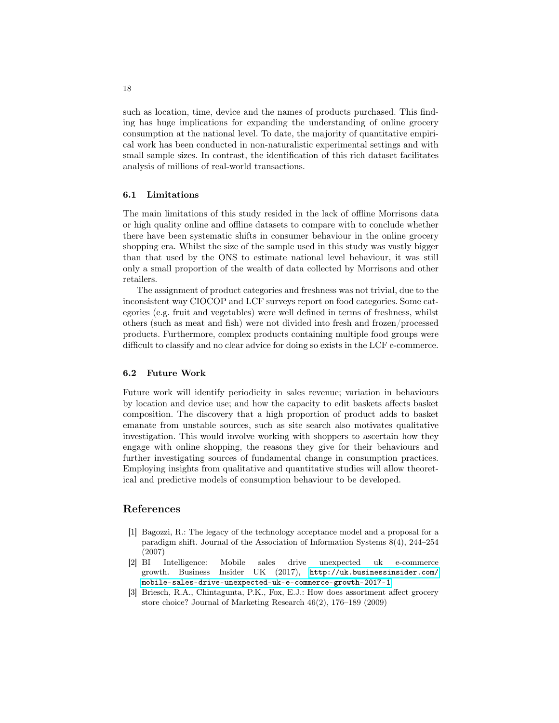such as location, time, device and the names of products purchased. This finding has huge implications for expanding the understanding of online grocery consumption at the national level. To date, the majority of quantitative empirical work has been conducted in non-naturalistic experimental settings and with small sample sizes. In contrast, the identification of this rich dataset facilitates analysis of millions of real-world transactions.

## 6.1 Limitations

The main limitations of this study resided in the lack of offline Morrisons data or high quality online and offline datasets to compare with to conclude whether there have been systematic shifts in consumer behaviour in the online grocery shopping era. Whilst the size of the sample used in this study was vastly bigger than that used by the ONS to estimate national level behaviour, it was still only a small proportion of the wealth of data collected by Morrisons and other retailers.

The assignment of product categories and freshness was not trivial, due to the inconsistent way CIOCOP and LCF surveys report on food categories. Some categories (e.g. fruit and vegetables) were well defined in terms of freshness, whilst others (such as meat and fish) were not divided into fresh and frozen/processed products. Furthermore, complex products containing multiple food groups were difficult to classify and no clear advice for doing so exists in the LCF e-commerce.

#### 6.2 Future Work

Future work will identify periodicity in sales revenue; variation in behaviours by location and device use; and how the capacity to edit baskets affects basket composition. The discovery that a high proportion of product adds to basket emanate from unstable sources, such as site search also motivates qualitative investigation. This would involve working with shoppers to ascertain how they engage with online shopping, the reasons they give for their behaviours and further investigating sources of fundamental change in consumption practices. Employing insights from qualitative and quantitative studies will allow theoretical and predictive models of consumption behaviour to be developed.

# References

- <span id="page-17-1"></span>[1] Bagozzi, R.: The legacy of the technology acceptance model and a proposal for a paradigm shift. Journal of the Association of Information Systems 8(4), 244–254 (2007)
- <span id="page-17-0"></span>[2] BI Intelligence: Mobile sales drive unexpected uk e-commerce growth. Business Insider UK (2017), [http://uk.businessinsider.com/](http://uk.businessinsider.com/mobile-sales-drive-unexpected-uk-e-commerce-growth-2017-1) [mobile-sales-drive-unexpected-uk-e-commerce-growth-2017-1](http://uk.businessinsider.com/mobile-sales-drive-unexpected-uk-e-commerce-growth-2017-1)
- <span id="page-17-2"></span>[3] Briesch, R.A., Chintagunta, P.K., Fox, E.J.: How does assortment affect grocery store choice? Journal of Marketing Research 46(2), 176–189 (2009)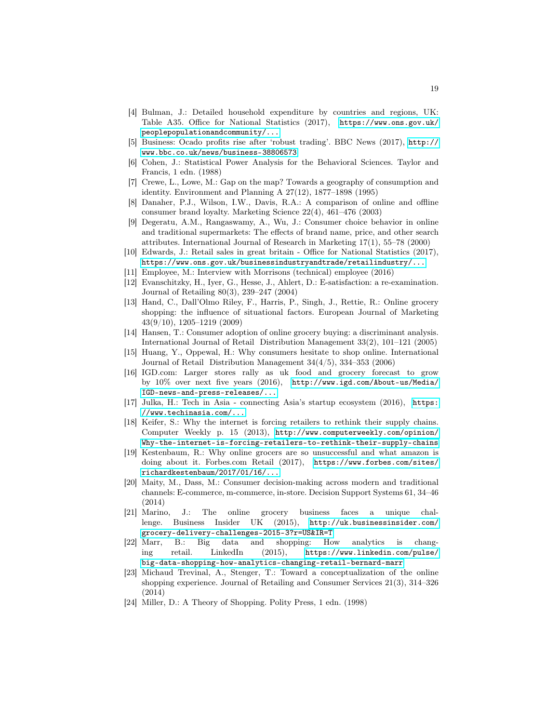- <span id="page-18-6"></span>[4] Bulman, J.: Detailed household expenditure by countries and regions, UK: Table A35. Office for National Statistics (2017), [https://www.ons.gov.uk/](https://www.ons.gov.uk/peoplepopulationandcommunity/personalandhouseholdfinances/expenditure/datasets/detailedhouseholdexpenditurebycountriesandregionsuktablea35) [peoplepopulationandcommunity/...](https://www.ons.gov.uk/peoplepopulationandcommunity/personalandhouseholdfinances/expenditure/datasets/detailedhouseholdexpenditurebycountriesandregionsuktablea35)
- <span id="page-18-4"></span>[5] Business: Ocado profits rise after 'robust trading'. BBC News (2017), [http://](http://www.bbc.co.uk/news/business-38806573) [www.bbc.co.uk/news/business-38806573](http://www.bbc.co.uk/news/business-38806573)
- <span id="page-18-19"></span>[6] Cohen, J.: Statistical Power Analysis for the Behavioral Sciences. Taylor and Francis, 1 edn. (1988)
- <span id="page-18-12"></span>[7] Crewe, L., Lowe, M.: Gap on the map? Towards a geography of consumption and identity. Environment and Planning A 27(12), 1877–1898 (1995)
- <span id="page-18-7"></span>[8] Danaher, P.J., Wilson, I.W., Davis, R.A.: A comparison of online and offline consumer brand loyalty. Marketing Science 22(4), 461–476 (2003)
- <span id="page-18-15"></span>[9] Degeratu, A.M., Rangaswamy, A., Wu, J.: Consumer choice behavior in online and traditional supermarkets: The effects of brand name, price, and other search attributes. International Journal of Research in Marketing 17(1), 55–78 (2000)
- <span id="page-18-0"></span>[10] Edwards, J.: Retail sales in great britain - Office for National Statistics (2017), [https://www.ons.gov.uk/businessindustryandtrade/retailindustry/...](https://www.ons.gov.uk/businessindustryandtrade/retailindustry/bulletins/retailsales/mar2017#whats-the-story-in-online-sales)
- <span id="page-18-17"></span>[11] Employee, M.: Interview with Morrisons (technical) employee (2016)
- <span id="page-18-10"></span>[12] Evanschitzky, H., Iyer, G., Hesse, J., Ahlert, D.: E-satisfaction: a re-examination. Journal of Retailing 80(3), 239–247 (2004)
- <span id="page-18-9"></span>[13] Hand, C., Dall'Olmo Riley, F., Harris, P., Singh, J., Rettie, R.: Online grocery shopping: the influence of situational factors. European Journal of Marketing 43(9/10), 1205–1219 (2009)
- <span id="page-18-8"></span>[14] Hansen, T.: Consumer adoption of online grocery buying: a discriminant analysis. International Journal of Retail Distribution Management 33(2), 101–121 (2005)
- <span id="page-18-18"></span>[15] Huang, Y., Oppewal, H.: Why consumers hesitate to shop online. International Journal of Retail Distribution Management 34(4/5), 334–353 (2006)
- <span id="page-18-3"></span>[16] IGD.com: Larger stores rally as uk food and grocery forecast to grow by 10% over next five years (2016), [http://www.igd.com/About-us/Media/](http://www.igd.com/About-us/Media/IGD-news-and-press-releases/Larger-stores-rally-as-UK-food-and-grocery-forecast-to-grow-by-10-over-next-five-years/ ) [IGD-news-and-press-releases/...](http://www.igd.com/About-us/Media/IGD-news-and-press-releases/Larger-stores-rally-as-UK-food-and-grocery-forecast-to-grow-by-10-over-next-five-years/ )
- <span id="page-18-1"></span>[17] Julka, H.: Tech in Asia - connecting Asia's startup ecosystem (2016), [https:](https://www.techinasia.com/11-reasons-online-grocery-startups-failing-indias-small-towns) [//www.techinasia.com/...](https://www.techinasia.com/11-reasons-online-grocery-startups-failing-indias-small-towns)
- <span id="page-18-11"></span>[18] Keifer, S.: Why the internet is forcing retailers to rethink their supply chains. Computer Weekly p. 15 (2013), [http://www.computerweekly.com/opinion/](http://www.computerweekly.com/opinion/Why-the-internet-is-forcing-retailers-to-rethink-their-supply-chains) [Why-the-internet-is-forcing-retailers-to-rethink-their-supply-chains](http://www.computerweekly.com/opinion/Why-the-internet-is-forcing-retailers-to-rethink-their-supply-chains)
- <span id="page-18-2"></span>[19] Kestenbaum, R.: Why online grocers are so unsuccessful and what amazon is doing about it. Forbes.com Retail (2017), [https://www.forbes.com/sites/](https://www.forbes.com/sites/richardkestenbaum/2017/01/16/why-online-grocers-are-so-unsuccessful-and-what-amazon-is-doing-about-it/#6718c6f77f56) [richardkestenbaum/2017/01/16/...](https://www.forbes.com/sites/richardkestenbaum/2017/01/16/why-online-grocers-are-so-unsuccessful-and-what-amazon-is-doing-about-it/#6718c6f77f56)
- <span id="page-18-14"></span>[20] Maity, M., Dass, M.: Consumer decision-making across modern and traditional channels: E-commerce, m-commerce, in-store. Decision Support Systems 61, 34–46 (2014)
- <span id="page-18-20"></span>[21] Marino, J.: The online grocery business faces a unique challenge. Business Insider UK (2015), [http://uk.businessinsider.com/](http://uk.businessinsider.com/grocery-delivery-challenges-2015-3?r=US&IR=T) [grocery-delivery-challenges-2015-3?r=US&IR=T](http://uk.businessinsider.com/grocery-delivery-challenges-2015-3?r=US&IR=T)
- <span id="page-18-5"></span>[22] Marr, B.: Big data and shopping: How analytics is changing retail. LinkedIn (2015), [https://www.linkedin.com/pulse/](https://www.linkedin.com/pulse/big-data-shopping-how-analytics-changing-retail-bernard-marr) [big-data-shopping-how-analytics-changing-retail-bernard-marr](https://www.linkedin.com/pulse/big-data-shopping-how-analytics-changing-retail-bernard-marr)
- <span id="page-18-13"></span>[23] Michaud Trevinal, A., Stenger, T.: Toward a conceptualization of the online shopping experience. Journal of Retailing and Consumer Services 21(3), 314–326 (2014)
- <span id="page-18-16"></span>[24] Miller, D.: A Theory of Shopping. Polity Press, 1 edn. (1998)